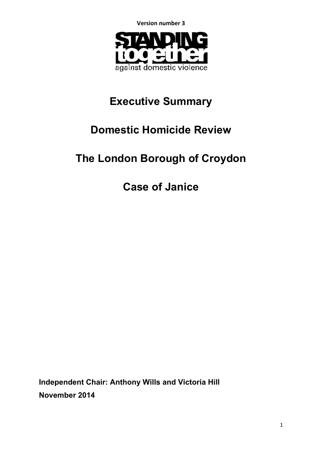**Version number 3**



# **Executive Summary**

# **Domestic Homicide Review**

# **The London Borough of Croydon**

**Case of Janice**

**Independent Chair: Anthony Wills and Victoria Hill November 2014**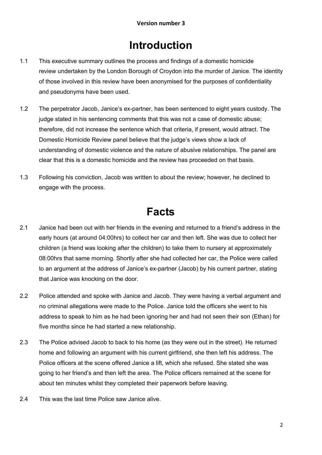### **Introduction**

- 1.1 This executive summary outlines the process and findings of a domestic homicide review undertaken by the London Borough of Croydon into the murder of Janice. The identity of those involved in this review have been anonymised for the purposes of confidentiality and pseudonyms have been used.
- 1.2 The perpetrator Jacob, Janice's ex-partner, has been sentenced to eight years custody. The judge stated in his sentencing comments that this was not a case of domestic abuse; therefore, did not increase the sentence which that criteria, if present, would attract. The Domestic Homicide Review panel believe that the judge's views show a lack of understanding of domestic violence and the nature of abusive relationships. The panel are clear that this is a domestic homicide and the review has proceeded on that basis.
- 1.3 Following his conviction, Jacob was written to about the review; however, he declined to engage with the process.

## **Facts**

- 2.1 Janice had been out with her friends in the evening and returned to a friend's address in the early hours (at around 04:00hrs) to collect her car and then left. She was due to collect her children (a friend was looking after the children) to take them to nursery at approximately 08:00hrs that same morning. Shortly after she had collected her car, the Police were called to an argument at the address of Janice's ex-partner (Jacob) by his current partner, stating that Janice was knocking on the door.
- 2.2 Police attended and spoke with Janice and Jacob. They were having a verbal argument and no criminal allegations were made to the Police. Janice told the officers she went to his address to speak to him as he had been ignoring her and had not seen their son (Ethan) for five months since he had started a new relationship.
- 2.3 The Police advised Jacob to back to his home (as they were out in the street). He returned home and following an argument with his current girlfriend, she then left his address. The Police officers at the scene offered Janice a lift, which she refused. She stated she was going to her friend's and then left the area. The Police officers remained at the scene for about ten minutes whilst they completed their paperwork before leaving.
- 2.4 This was the last time Police saw Janice alive.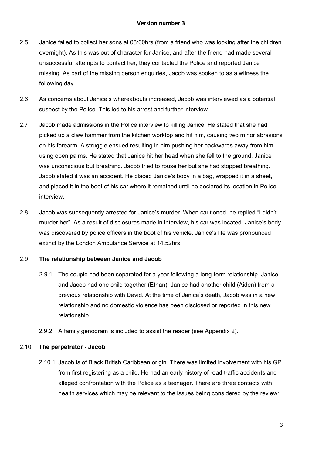- 2.5 Janice failed to collect her sons at 08:00hrs (from a friend who was looking after the children overnight). As this was out of character for Janice, and after the friend had made several unsuccessful attempts to contact her, they contacted the Police and reported Janice missing. As part of the missing person enquiries, Jacob was spoken to as a witness the following day.
- 2.6 As concerns about Janice's whereabouts increased, Jacob was interviewed as a potential suspect by the Police. This led to his arrest and further interview.
- 2.7 Jacob made admissions in the Police interview to killing Janice. He stated that she had picked up a claw hammer from the kitchen worktop and hit him, causing two minor abrasions on his forearm. A struggle ensued resulting in him pushing her backwards away from him using open palms. He stated that Janice hit her head when she fell to the ground. Janice was unconscious but breathing. Jacob tried to rouse her but she had stopped breathing. Jacob stated it was an accident. He placed Janice's body in a bag, wrapped it in a sheet, and placed it in the boot of his car where it remained until he declared its location in Police interview.
- 2.8 Jacob was subsequently arrested for Janice's murder. When cautioned, he replied "I didn't murder her". As a result of disclosures made in interview, his car was located. Janice's body was discovered by police officers in the boot of his vehicle. Janice's life was pronounced extinct by the London Ambulance Service at 14.52hrs.

#### 2.9 **The relationship between Janice and Jacob**

- 2.9.1 The couple had been separated for a year following a long-term relationship. Janice and Jacob had one child together (Ethan). Janice had another child (Aiden) from a previous relationship with David. At the time of Janice's death, Jacob was in a new relationship and no domestic violence has been disclosed or reported in this new relationship.
- 2.9.2 A family genogram is included to assist the reader (see Appendix 2).

#### 2.10 **The perpetrator - Jacob**

2.10.1 Jacob is of Black British Caribbean origin. There was limited involvement with his GP from first registering as a child. He had an early history of road traffic accidents and alleged confrontation with the Police as a teenager. There are three contacts with health services which may be relevant to the issues being considered by the review: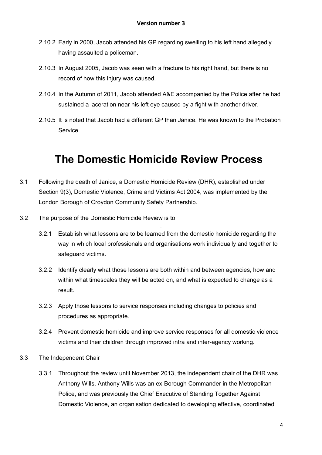- 2.10.2 Early in 2000, Jacob attended his GP regarding swelling to his left hand allegedly having assaulted a policeman.
- 2.10.3 In August 2005, Jacob was seen with a fracture to his right hand, but there is no record of how this injury was caused.
- 2.10.4 In the Autumn of 2011, Jacob attended A&E accompanied by the Police after he had sustained a laceration near his left eye caused by a fight with another driver.
- 2.10.5 It is noted that Jacob had a different GP than Janice. He was known to the Probation Service.

# **The Domestic Homicide Review Process**

- 3.1 Following the death of Janice, a Domestic Homicide Review (DHR), established under Section 9(3), Domestic Violence, Crime and Victims Act 2004, was implemented by the London Borough of Croydon Community Safety Partnership.
- 3.2 The purpose of the Domestic Homicide Review is to:
	- 3.2.1 Establish what lessons are to be learned from the domestic homicide regarding the way in which local professionals and organisations work individually and together to safeguard victims.
	- 3.2.2 Identify clearly what those lessons are both within and between agencies, how and within what timescales they will be acted on, and what is expected to change as a result.
	- 3.2.3 Apply those lessons to service responses including changes to policies and procedures as appropriate.
	- 3.2.4 Prevent domestic homicide and improve service responses for all domestic violence victims and their children through improved intra and inter-agency working.
- 3.3 The Independent Chair
	- 3.3.1 Throughout the review until November 2013, the independent chair of the DHR was Anthony Wills. Anthony Wills was an ex-Borough Commander in the Metropolitan Police, and was previously the Chief Executive of Standing Together Against Domestic Violence, an organisation dedicated to developing effective, coordinated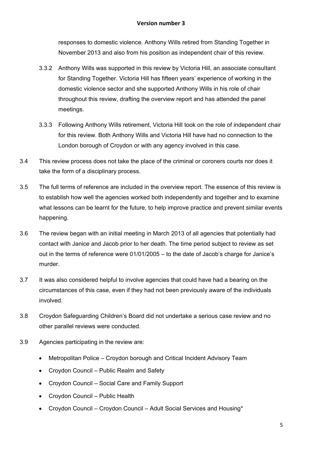responses to domestic violence. Anthony Wills retired from Standing Together in November 2013 and also from his position as independent chair of this review.

- 3.3.2 Anthony Wills was supported in this review by Victoria Hill, an associate consultant for Standing Together. Victoria Hill has fifteen years' experience of working in the domestic violence sector and she supported Anthony Wills in his role of chair throughout this review, drafting the overview report and has attended the panel meetings.
- 3.3.3 Following Anthony Wills retirement, Victoria Hill took on the role of independent chair for this review. Both Anthony Wills and Victoria Hill have had no connection to the London borough of Croydon or with any agency involved in this case.
- 3.4 This review process does not take the place of the criminal or coroners courts nor does it take the form of a disciplinary process.
- 3.5 The full terms of reference are included in the overview report. The essence of this review is to establish how well the agencies worked both independently and together and to examine what lessons can be learnt for the future, to help improve practice and prevent similar events happening.
- 3.6 The review began with an initial meeting in March 2013 of all agencies that potentially had contact with Janice and Jacob prior to her death. The time period subject to review as set out in the terms of reference were 01/01/2005 – to the date of Jacob's charge for Janice's murder.
- 3.7 It was also considered helpful to involve agencies that could have had a bearing on the circumstances of this case, even if they had not been previously aware of the individuals involved.
- 3.8 Croydon Safeguarding Children's Board did not undertake a serious case review and no other parallel reviews were conducted.
- 3.9 Agencies participating in the review are:
	- Metropolitan Police Croydon borough and Critical Incident Advisory Team
	- Croydon Council Public Realm and Safety
	- Croydon Council Social Care and Family Support
	- Croydon Council Public Health
	- Croydon Council Croydon Council Adult Social Services and Housing\*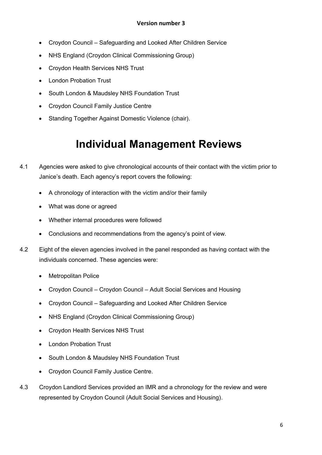- Croydon Council Safeguarding and Looked After Children Service
- NHS England (Croydon Clinical Commissioning Group)
- Croydon Health Services NHS Trust
- London Probation Trust
- South London & Maudsley NHS Foundation Trust
- Croydon Council Family Justice Centre
- Standing Together Against Domestic Violence (chair).

## **Individual Management Reviews**

- 4.1 Agencies were asked to give chronological accounts of their contact with the victim prior to Janice's death. Each agency's report covers the following:
	- A chronology of interaction with the victim and/or their family
	- What was done or agreed
	- Whether internal procedures were followed
	- Conclusions and recommendations from the agency's point of view.
- 4.2 Eight of the eleven agencies involved in the panel responded as having contact with the individuals concerned. These agencies were:
	- Metropolitan Police
	- Croydon Council Croydon Council Adult Social Services and Housing
	- Croydon Council Safeguarding and Looked After Children Service
	- NHS England (Croydon Clinical Commissioning Group)
	- Croydon Health Services NHS Trust
	- London Probation Trust
	- South London & Maudsley NHS Foundation Trust
	- Croydon Council Family Justice Centre.
- 4.3 Croydon Landlord Services provided an IMR and a chronology for the review and were represented by Croydon Council (Adult Social Services and Housing).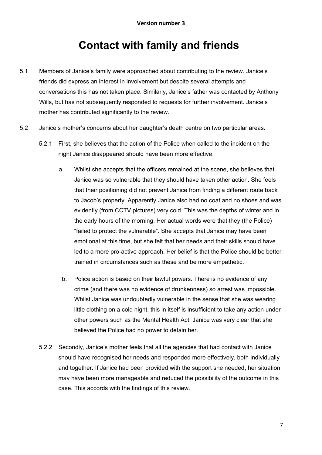# **Contact with family and friends**

- 5.1 Members of Janice's family were approached about contributing to the review. Janice's friends did express an interest in involvement but despite several attempts and conversations this has not taken place. Similarly, Janice's father was contacted by Anthony Wills, but has not subsequently responded to requests for further involvement. Janice's mother has contributed significantly to the review.
- 5.2 Janice's mother's concerns about her daughter's death centre on two particular areas.
	- 5.2.1 First, she believes that the action of the Police when called to the incident on the night Janice disappeared should have been more effective.
		- "failed to protect the vulnerable". She accepts that Janice may have been a. Whilst she accepts that the officers remained at the scene, she believes that Janice was so vulnerable that they should have taken other action. She feels that their positioning did not prevent Janice from finding a different route back to Jacob's property. Apparently Janice also had no coat and no shoes and was evidently (from CCTV pictures) very cold. This was the depths of winter and in the early hours of the morning. Her actual words were that they (the Police) emotional at this time, but she felt that her needs and their skills should have led to a more pro-active approach. Her belief is that the Police should be better trained in circumstances such as these and be more empathetic.
		- b. Police action is based on their lawful powers. There is no evidence of any crime (and there was no evidence of drunkenness) so arrest was impossible. Whilst Janice was undoubtedly vulnerable in the sense that she was wearing little clothing on a cold night, this in itself is insufficient to take any action under other powers such as the Mental Health Act. Janice was very clear that she believed the Police had no power to detain her.
	- 5.2.2 Secondly, Janice's mother feels that all the agencies that had contact with Janice should have recognised her needs and responded more effectively, both individually and together. If Janice had been provided with the support she needed, her situation may have been more manageable and reduced the possibility of the outcome in this case. This accords with the findings of this review.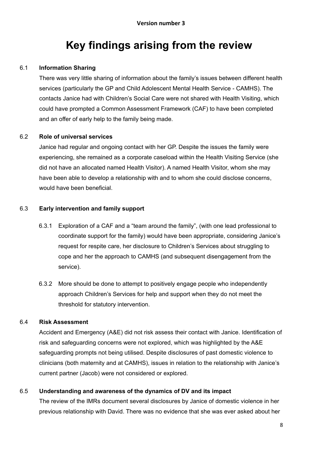## **Key findings arising from the review**

#### 6.1 **Information Sharing**

There was very little sharing of information about the family's issues between different health services (particularly the GP and Child Adolescent Mental Health Service - CAMHS). The contacts Janice had with Children's Social Care were not shared with Health Visiting, which could have prompted a Common Assessment Framework (CAF) to have been completed and an offer of early help to the family being made.

#### 6.2 **Role of universal services**

Janice had regular and ongoing contact with her GP. Despite the issues the family were experiencing, she remained as a corporate caseload within the Health Visiting Service (she did not have an allocated named Health Visitor). A named Health Visitor, whom she may have been able to develop a relationship with and to whom she could disclose concerns, would have been beneficial.

#### 6.3 **Early intervention and family support**

- 6.3.1 Exploration of a CAF and a "team around the family", (with one lead professional to coordinate support for the family) would have been appropriate, considering Janice's request for respite care, her disclosure to Children's Services about struggling to cope and her the approach to CAMHS (and subsequent disengagement from the service).
- 6.3.2 More should be done to attempt to positively engage people who independently approach Children's Services for help and support when they do not meet the threshold for statutory intervention.

#### 6.4 **Risk Assessment**

Accident and Emergency (A&E) did not risk assess their contact with Janice. Identification of risk and safeguarding concerns were not explored, which was highlighted by the A&E safeguarding prompts not being utilised. Despite disclosures of past domestic violence to clinicians (both maternity and at CAMHS), issues in relation to the relationship with Janice's current partner (Jacob) were not considered or explored.

#### 6.5 **Understanding and awareness of the dynamics of DV and its impact**

The review of the IMRs document several disclosures by Janice of domestic violence in her previous relationship with David. There was no evidence that she was ever asked about her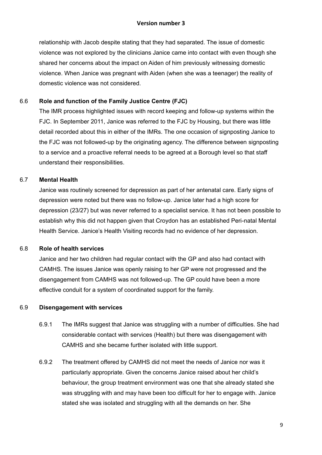relationship with Jacob despite stating that they had separated. The issue of domestic violence was not explored by the clinicians Janice came into contact with even though she shared her concerns about the impact on Aiden of him previously witnessing domestic violence. When Janice was pregnant with Aiden (when she was a teenager) the reality of domestic violence was not considered.

#### 6.6 **Role and function of the Family Justice Centre (FJC)**

The IMR process highlighted issues with record keeping and follow-up systems within the FJC. In September 2011, Janice was referred to the FJC by Housing, but there was little detail recorded about this in either of the IMRs. The one occasion of signposting Janice to the FJC was not followed-up by the originating agency. The difference between signposting to a service and a proactive referral needs to be agreed at a Borough level so that staff understand their responsibilities.

#### 6.7 **Mental Health**

Health Service. Janice's Health Visiting records had no evidence of her depression. Janice was routinely screened for depression as part of her antenatal care. Early signs of depression were noted but there was no follow-up. Janice later had a high score for depression (23/27) but was never referred to a specialist service. It has not been possible to establish why this did not happen given that Croydon has an established Peri-natal Mental

#### 6.8 **Role of health services**

Janice and her two children had regular contact with the GP and also had contact with CAMHS. The issues Janice was openly raising to her GP were not progressed and the disengagement from CAMHS was not followed-up. The GP could have been a more effective conduit for a system of coordinated support for the family.

#### 6.9 **Disengagement with services**

- 6.9.1 The IMRs suggest that Janice was struggling with a number of difficulties. She had considerable contact with services (Health) but there was disengagement with CAMHS and she became further isolated with little support.
- 6.9.2 The treatment offered by CAMHS did not meet the needs of Janice nor was it particularly appropriate. Given the concerns Janice raised about her child's behaviour, the group treatment environment was one that she already stated she was struggling with and may have been too difficult for her to engage with. Janice stated she was isolated and struggling with all the demands on her. She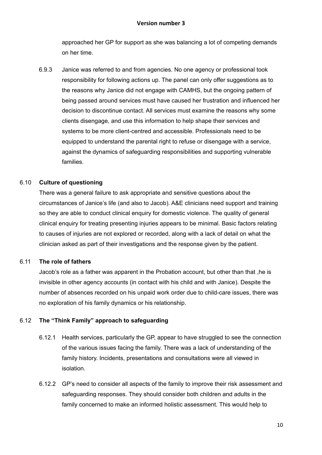approached her GP for support as she was balancing a lot of competing demands on her time.

6.9.3 Janice was referred to and from agencies. No one agency or professional took responsibility for following actions up. The panel can only offer suggestions as to the reasons why Janice did not engage with CAMHS, but the ongoing pattern of being passed around services must have caused her frustration and influenced her decision to discontinue contact. All services must examine the reasons why some clients disengage, and use this information to help shape their services and systems to be more client-centred and accessible. Professionals need to be equipped to understand the parental right to refuse or disengage with a service, against the dynamics of safeguarding responsibilities and supporting vulnerable families.

#### 6.10 **Culture of questioning**

There was a general failure to ask appropriate and sensitive questions about the circumstances of Janice's life (and also to Jacob). A&E clinicians need support and training so they are able to conduct clinical enquiry for domestic violence. The quality of general clinical enquiry for treating presenting injuries appears to be minimal. Basic factors relating to causes of injuries are not explored or recorded, along with a lack of detail on what the clinician asked as part of their investigations and the response given by the patient.

#### 6.11 **The role of fathers**

Jacob's role as a father was apparent in the Probation account, but other than that ,he is invisible in other agency accounts (in contact with his child and with Janice). Despite the number of absences recorded on his unpaid work order due to child-care issues, there was no exploration of his family dynamics or his relationship.

#### 6.12 **The "Think Family" approach to safeguarding**

- 6.12.1 Health services, particularly the GP, appear to have struggled to see the connection of the various issues facing the family. There was a lack of understanding of the family history. Incidents, presentations and consultations were all viewed in isolation.
- 6.12.2 GP's need to consider all aspects of the family to improve their risk assessment and safeguarding responses. They should consider both children and adults in the family concerned to make an informed holistic assessment. This would help to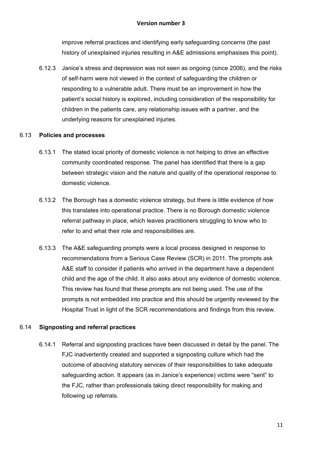improve referral practices and identifying early safeguarding concerns (the past history of unexplained injuries resulting in A&E admissions emphasises this point).

6.12.3 Janice's stress and depression was not seen as ongoing (since 2006), and the risks of self-harm were not viewed in the context of safeguarding the children or responding to a vulnerable adult. There must be an improvement in how the patient's social history is explored, including consideration of the responsibility for children in the patients care, any relationship issues with a partner, and the underlying reasons for unexplained injuries.

#### 6.13 **Policies and processes**

- 6.13.1 The stated local priority of domestic violence is not helping to drive an effective community coordinated response. The panel has identified that there is a gap between strategic vision and the nature and quality of the operational response to domestic violence.
- refer to and what their role and responsibilities are. 6.13.2 The Borough has a domestic violence strategy, but there is little evidence of how this translates into operational practice. There is no Borough domestic violence referral pathway in place, which leaves practitioners struggling to know who to
- 6.13.3 The A&E safeguarding prompts were a local process designed in response to recommendations from a Serious Case Review (SCR) in 2011. The prompts ask A&E staff to consider if patients who arrived in the department have a dependent child and the age of the child. It also asks about any evidence of domestic violence. This review has found that these prompts are not being used. The use of the prompts is not embedded into practice and this should be urgently reviewed by the Hospital Trust in light of the SCR recommendations and findings from this review.

#### 6.14 **Signposting and referral practices**

6.14.1 Referral and signposting practices have been discussed in detail by the panel. The FJC inadvertently created and supported a signposting culture which had the outcome of absolving statutory services of their responsibilities to take adequate safeguarding action. It appears (as in Janice's experience) victims were "sent" to the FJC, rather than professionals taking direct responsibility for making and following up referrals.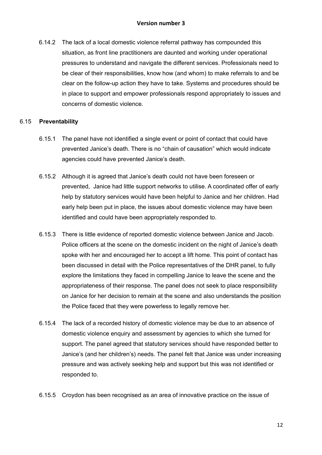6.14.2 The lack of a local domestic violence referral pathway has compounded this situation, as front line practitioners are daunted and working under operational pressures to understand and navigate the different services. Professionals need to be clear of their responsibilities, know how (and whom) to make referrals to and be clear on the follow-up action they have to take. Systems and procedures should be in place to support and empower professionals respond appropriately to issues and concerns of domestic violence.

#### 6.15 **Preventability**

- 6.15.1 The panel have not identified a single event or point of contact that could have prevented Janice's death. There is no "chain of causation" which would indicate agencies could have prevented Janice's death.
- 6.15.2 Although it is agreed that Janice's death could not have been foreseen or prevented, Janice had little support networks to utilise. A coordinated offer of early help by statutory services would have been helpful to Janice and her children. Had early help been put in place, the issues about domestic violence may have been identified and could have been appropriately responded to.
- 6.15.3 There is little evidence of reported domestic violence between Janice and Jacob. Police officers at the scene on the domestic incident on the night of Janice's death spoke with her and encouraged her to accept a lift home. This point of contact has been discussed in detail with the Police representatives of the DHR panel, to fully explore the limitations they faced in compelling Janice to leave the scene and the appropriateness of their response. The panel does not seek to place responsibility on Janice for her decision to remain at the scene and also understands the position the Police faced that they were powerless to legally remove her.
- 6.15.4 The lack of a recorded history of domestic violence may be due to an absence of domestic violence enquiry and assessment by agencies to which she turned for support. The panel agreed that statutory services should have responded better to Janice's (and her children's) needs. The panel felt that Janice was under increasing pressure and was actively seeking help and support but this was not identified or responded to.
- 6.15.5 Croydon has been recognised as an area of innovative practice on the issue of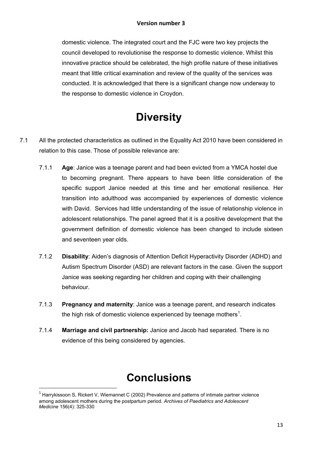domestic violence. The integrated court and the FJC were two key projects the council developed to revolutionise the response to domestic violence. Whilst this innovative practice should be celebrated, the high profile nature of these initiatives meant that little critical examination and review of the quality of the services was conducted. It is acknowledged that there is a significant change now underway to the response to domestic violence in Croydon.

# **Diversity**

- 7.1 All the protected characteristics as outlined in the Equality Act 2010 have been considered in relation to this case. Those of possible relevance are:
	- government definition of domestic violence has been changed to include sixteen 7.1.1 **Age**: Janice was a teenage parent and had been evicted from a YMCA hostel due to becoming pregnant. There appears to have been little consideration of the specific support Janice needed at this time and her emotional resilience. Her transition into adulthood was accompanied by experiences of domestic violence with David. Services had little understanding of the issue of relationship violence in adolescent relationships. The panel agreed that it is a positive development that the and seventeen year olds.
	- 7.1.2 **Disability**: Aiden's diagnosis of Attention Deficit Hyperactivity Disorder (ADHD) and Autism Spectrum Disorder (ASD) are relevant factors in the case. Given the support Janice was seeking regarding her children and coping with their challenging behaviour.
	- 7.1.3 **Pregnancy and maternity**: Janice was a teenage parent, and research indicates the high risk of domestic violence experienced by teenage mothers<sup>1</sup>.
	- 7.1.4 **Marriage and civil partnership:** Janice and Jacob had separated. There is no evidence of this being considered by agencies.

# **Conclusions**

**.** 

 $<sup>1</sup>$  Harrykissoon S, Rickert V, Wiemannet C (2002) Prevalence and patterns of intimate partner violence</sup> among adolescent mothers during the postpartum period. *Archives of Paediatrics and Adolescent Medicine* 156(4): 325-330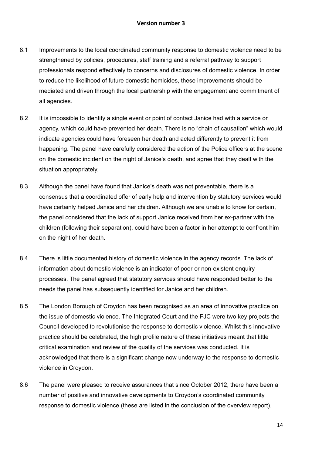#### **Version number 3**

- 8.1 Improvements to the local coordinated community response to domestic violence need to be strengthened by policies, procedures, staff training and a referral pathway to support professionals respond effectively to concerns and disclosures of domestic violence. In order to reduce the likelihood of future domestic homicides, these improvements should be mediated and driven through the local partnership with the engagement and commitment of all agencies.
- 8.2 It is impossible to identify a single event or point of contact Janice had with a service or agency, which could have prevented her death. There is no "chain of causation" which would indicate agencies could have foreseen her death and acted differently to prevent it from happening. The panel have carefully considered the action of the Police officers at the scene on the domestic incident on the night of Janice's death, and agree that they dealt with the situation appropriately.
- children (following their separation), could have been a factor in her attempt to confront him 8.3 Although the panel have found that Janice's death was not preventable, there is a consensus that a coordinated offer of early help and intervention by statutory services would have certainly helped Janice and her children. Although we are unable to know for certain, the panel considered that the lack of support Janice received from her ex-partner with the on the night of her death.
- 8.4 There is little documented history of domestic violence in the agency records. The lack of information about domestic violence is an indicator of poor or non-existent enquiry processes. The panel agreed that statutory services should have responded better to the needs the panel has subsequently identified for Janice and her children.
- 8.5 The London Borough of Croydon has been recognised as an area of innovative practice on the issue of domestic violence. The Integrated Court and the FJC were two key projects the Council developed to revolutionise the response to domestic violence. Whilst this innovative practice should be celebrated, the high profile nature of these initiatives meant that little critical examination and review of the quality of the services was conducted. It is acknowledged that there is a significant change now underway to the response to domestic violence in Croydon.
- 8.6 The panel were pleased to receive assurances that since October 2012, there have been a number of positive and innovative developments to Croydon's coordinated community response to domestic violence (these are listed in the conclusion of the overview report).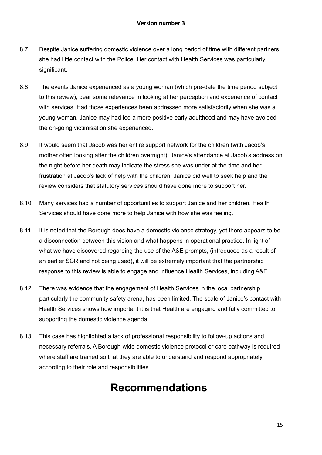- 8.7 Despite Janice suffering domestic violence over a long period of time with different partners, she had little contact with the Police. Her contact with Health Services was particularly significant.
- 8.8 The events Janice experienced as a young woman (which pre-date the time period subject to this review), bear some relevance in looking at her perception and experience of contact with services. Had those experiences been addressed more satisfactorily when she was a young woman, Janice may had led a more positive early adulthood and may have avoided the on-going victimisation she experienced.
- 8.9 It would seem that Jacob was her entire support network for the children (with Jacob's mother often looking after the children overnight). Janice's attendance at Jacob's address on the night before her death may indicate the stress she was under at the time and her frustration at Jacob's lack of help with the children. Janice did well to seek help and the review considers that statutory services should have done more to support her.
- 8.10 Many services had a number of opportunities to support Janice and her children. Health Services should have done more to help Janice with how she was feeling.
- 8.11 It is noted that the Borough does have a domestic violence strategy, yet there appears to be a disconnection between this vision and what happens in operational practice. In light of what we have discovered regarding the use of the A&E prompts, (introduced as a result of an earlier SCR and not being used), it will be extremely important that the partnership response to this review is able to engage and influence Health Services, including A&E.
- 8.12 There was evidence that the engagement of Health Services in the local partnership, particularly the community safety arena, has been limited. The scale of Janice's contact with Health Services shows how important it is that Health are engaging and fully committed to supporting the domestic violence agenda.
- 8.13 This case has highlighted a lack of professional responsibility to follow-up actions and necessary referrals. A Borough-wide domestic violence protocol or care pathway is required where staff are trained so that they are able to understand and respond appropriately, according to their role and responsibilities.

## **Recommendations**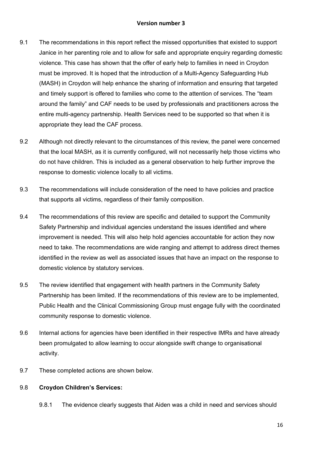#### **Version number 3**

- 9.1 The recommendations in this report reflect the missed opportunities that existed to support Janice in her parenting role and to allow for safe and appropriate enquiry regarding domestic violence. This case has shown that the offer of early help to families in need in Croydon must be improved. It is hoped that the introduction of a Multi-Agency Safeguarding Hub (MASH) in Croydon will help enhance the sharing of information and ensuring that targeted and timely support is offered to families who come to the attention of services. The "team around the family" and CAF needs to be used by professionals and practitioners across the entire multi-agency partnership. Health Services need to be supported so that when it is appropriate they lead the CAF process.
- 9.2 Although not directly relevant to the circumstances of this review, the panel were concerned that the local MASH, as it is currently configured, will not necessarily help those victims who do not have children. This is included as a general observation to help further improve the response to domestic violence locally to all victims.
- 9.3 The recommendations will include consideration of the need to have policies and practice that supports all victims, regardless of their family composition.
- Safety Partnership and individual agencies understand the issues identified and where 9.4 The recommendations of this review are specific and detailed to support the Community improvement is needed. This will also help hold agencies accountable for action they now need to take. The recommendations are wide ranging and attempt to address direct themes identified in the review as well as associated issues that have an impact on the response to domestic violence by statutory services.
- 9.5 The review identified that engagement with health partners in the Community Safety Partnership has been limited. If the recommendations of this review are to be implemented, Public Health and the Clinical Commissioning Group must engage fully with the coordinated community response to domestic violence.
- 9.6 Internal actions for agencies have been identified in their respective IMRs and have already been promulgated to allow learning to occur alongside swift change to organisational activity.
- 9.7 These completed actions are shown below.

#### 9.8 **Croydon Children's Services:**

9.8.1 The evidence clearly suggests that Aiden was a child in need and services should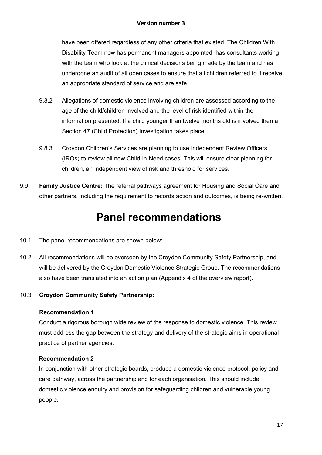have been offered regardless of any other criteria that existed. The Children With Disability Team now has permanent managers appointed, has consultants working with the team who look at the clinical decisions being made by the team and has undergone an audit of all open cases to ensure that all children referred to it receive an appropriate standard of service and are safe.

- 9.8.2 Allegations of domestic violence involving children are assessed according to the age of the child/children involved and the level of risk identified within the information presented. If a child younger than twelve months old is involved then a Section 47 (Child Protection) Investigation takes place.
- 9.8.3 Croydon Children's Services are planning to use Independent Review Officers (IROs) to review all new Child-in-Need cases. This will ensure clear planning for children, an independent view of risk and threshold for services.
- 9.9 **Family Justice Centre:** The referral pathways agreement for Housing and Social Care and other partners, including the requirement to records action and outcomes, is being re-written.

### **Panel recommendations**

- 10.1 The panel recommendations are shown below:
- 10.2 All recommendations will be overseen by the Croydon Community Safety Partnership, and will be delivered by the Croydon Domestic Violence Strategic Group. The recommendations also have been translated into an action plan (Appendix 4 of the overview report).

#### 10.3 **Croydon Community Safety Partnership:**

#### **Recommendation 1**

Conduct a rigorous borough wide review of the response to domestic violence. This review must address the gap between the strategy and delivery of the strategic aims in operational practice of partner agencies.

#### **Recommendation 2**

In conjunction with other strategic boards, produce a domestic violence protocol, policy and care pathway, across the partnership and for each organisation. This should include domestic violence enquiry and provision for safeguarding children and vulnerable young people.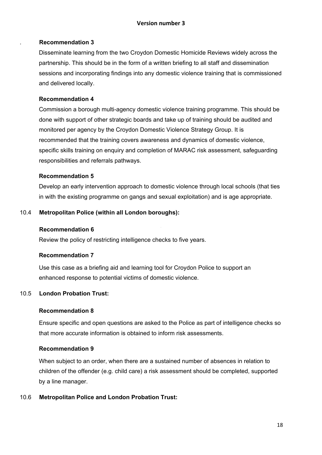#### . **Recommendation 3**

Disseminate learning from the two Croydon Domestic Homicide Reviews widely across the partnership. This should be in the form of a written briefing to all staff and dissemination sessions and incorporating findings into any domestic violence training that is commissioned and delivered locally.

#### **Recommendation 4**

Commission a borough multi-agency domestic violence training programme. This should be done with support of other strategic boards and take up of training should be audited and monitored per agency by the Croydon Domestic Violence Strategy Group. It is recommended that the training covers awareness and dynamics of domestic violence, specific skills training on enquiry and completion of MARAC risk assessment, safeguarding responsibilities and referrals pathways.

#### **Recommendation 5**

Develop an early intervention approach to domestic violence through local schools (that ties in with the existing programme on gangs and sexual exploitation) and is age appropriate.

#### 10.4 **Metropolitan Police (within all London boroughs):**

#### **Recommendation 6**

Review the policy of restricting intelligence checks to five years.

#### **Recommendation 7**

Use this case as a briefing aid and learning tool for Croydon Police to support an enhanced response to potential victims of domestic violence.

#### 10.5 **London Probation Trust:**

#### **Recommendation 8**

Ensure specific and open questions are asked to the Police as part of intelligence checks so that more accurate information is obtained to inform risk assessments.

#### **Recommendation 9**

When subject to an order, when there are a sustained number of absences in relation to children of the offender (e.g. child care) a risk assessment should be completed, supported by a line manager.

#### 10.6 **Metropolitan Police and London Probation Trust:**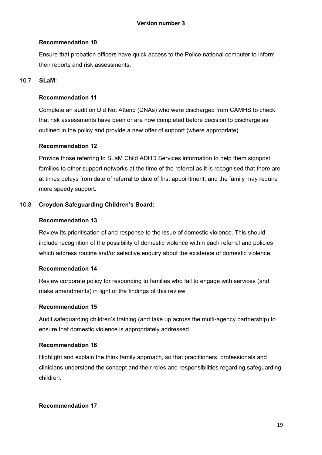#### **Recommendation 10**

Ensure that probation officers have quick access to the Police national computer to inform their reports and risk assessments.

#### 10.7 **SLaM:**

#### **Recommendation 11**

Complete an audit on Did Not Attend (DNAs) who were discharged from CAMHS to check that risk assessments have been or are now completed before decision to discharge as outlined in the policy and provide a new offer of support (where appropriate).

#### **Recommendation 12**

Provide those referring to SLaM Child ADHD Services information to help them signpost families to other support networks at the time of the referral as it is recognised that there are at times delays from date of referral to date of first appointment, and the family may require more speedy support.

#### 10.8 **Croydon Safeguarding Children's Board:**

#### **Recommendation 13**

Review its prioritisation of and response to the issue of domestic violence. This should include recognition of the possibility of domestic violence within each referral and policies which address routine and/or selective enquiry about the existence of domestic violence.

#### **Recommendation 14**

Review corporate policy for responding to families who fail to engage with services (and make amendments) in light of the findings of this review.

#### **Recommendation 15**

Audit safeguarding children's training (and take up across the multi-agency partnership) to ensure that domestic violence is appropriately addressed.

#### **Recommendation 16**

Highlight and explain the think family approach, so that practitioners, professionals and clinicians understand the concept and their roles and responsibilities regarding safeguarding children.

#### **Recommendation 17**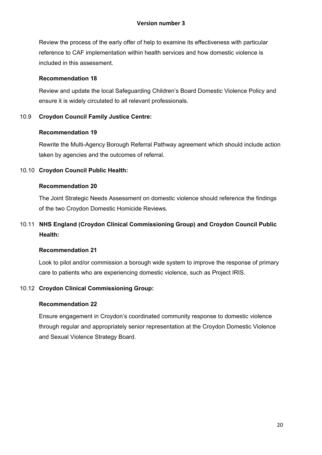Review the process of the early offer of help to examine its effectiveness with particular reference to CAF implementation within health services and how domestic violence is included in this assessment.

#### **Recommendation 18**

Review and update the local Safeguarding Children's Board Domestic Violence Policy and ensure it is widely circulated to all relevant professionals.

#### 10.9 **Croydon Council Family Justice Centre:**

#### **Recommendation 19**

Rewrite the Multi-Agency Borough Referral Pathway agreement which should include action taken by agencies and the outcomes of referral.

#### 10.10 **Croydon Council Public Health:**

#### **Recommendation 20**

The Joint Strategic Needs Assessment on domestic violence should reference the findings of the two Croydon Domestic Homicide Reviews.

#### 10.11 **NHS England (Croydon Clinical Commissioning Group) and Croydon Council Public Health:**

#### **Recommendation 21**

Look to pilot and/or commission a borough wide system to improve the response of primary care to patients who are experiencing domestic violence, such as Project IRIS.

#### 10.12 **Croydon Clinical Commissioning Group:**

#### **Recommendation 22**

Ensure engagement in Croydon's coordinated community response to domestic violence through regular and appropriately senior representation at the Croydon Domestic Violence and Sexual Violence Strategy Board.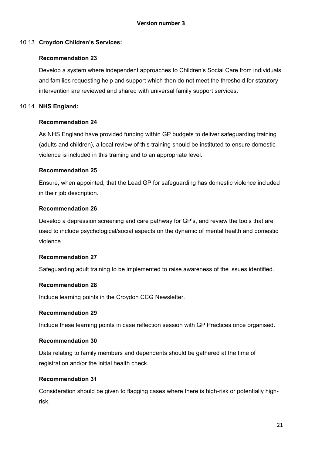#### 10.13 **Croydon Children's Services:**

#### **Recommendation 23**

Develop a system where independent approaches to Children's Social Care from individuals and families requesting help and support which then do not meet the threshold for statutory intervention are reviewed and shared with universal family support services.

#### 10.14 **NHS England:**

#### **Recommendation 24**

As NHS England have provided funding within GP budgets to deliver safeguarding training (adults and children), a local review of this training should be instituted to ensure domestic violence is included in this training and to an appropriate level.

#### **Recommendation 25**

Ensure, when appointed, that the Lead GP for safeguarding has domestic violence included in their job description.

#### **Recommendation 26**

Develop a depression screening and care pathway for GP's, and review the tools that are used to include psychological/social aspects on the dynamic of mental health and domestic violence.

#### **Recommendation 27**

Safeguarding adult training to be implemented to raise awareness of the issues identified.

#### **Recommendation 28**

Include learning points in the Croydon CCG Newsletter.

#### **Recommendation 29**

Include these learning points in case reflection session with GP Practices once organised.

#### **Recommendation 30**

Data relating to family members and dependents should be gathered at the time of registration and/or the initial health check.

#### **Recommendation 31**

Consideration should be given to flagging cases where there is high-risk or potentially highrisk.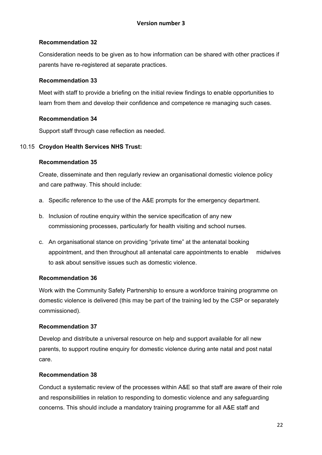#### **Recommendation 32**

Consideration needs to be given as to how information can be shared with other practices if parents have re-registered at separate practices.

#### **Recommendation 33**

Meet with staff to provide a briefing on the initial review findings to enable opportunities to learn from them and develop their confidence and competence re managing such cases.

#### **Recommendation 34**

Support staff through case reflection as needed.

#### 10.15 **Croydon Health Services NHS Trust:**

#### **Recommendation 35**

Create, disseminate and then regularly review an organisational domestic violence policy and care pathway. This should include:

- a. Specific reference to the use of the A&E prompts for the emergency department.
- commissioning processes, particularly for health visiting and school nurses. b. Inclusion of routine enquiry within the service specification of any new
- c. An organisational stance on providing "private time" at the antenatal booking appointment, and then throughout all antenatal care appointments to enable midwives to ask about sensitive issues such as domestic violence.

#### **Recommendation 36**

Work with the Community Safety Partnership to ensure a workforce training programme on domestic violence is delivered (this may be part of the training led by the CSP or separately commissioned).

#### **Recommendation 37**

Develop and distribute a universal resource on help and support available for all new parents, to support routine enquiry for domestic violence during ante natal and post natal care.

#### **Recommendation 38**

Conduct a systematic review of the processes within A&E so that staff are aware of their role and responsibilities in relation to responding to domestic violence and any safeguarding concerns. This should include a mandatory training programme for all A&E staff and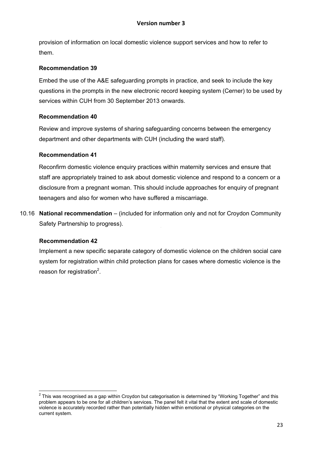provision of information on local domestic violence support services and how to refer to them.

#### **Recommendation 39**

Embed the use of the A&E safeguarding prompts in practice, and seek to include the key questions in the prompts in the new electronic record keeping system (Cerner) to be used by services within CUH from 30 September 2013 onwards.

#### **Recommendation 40**

Review and improve systems of sharing safeguarding concerns between the emergency department and other departments with CUH (including the ward staff).

#### **Recommendation 41**

Reconfirm domestic violence enquiry practices within maternity services and ensure that staff are appropriately trained to ask about domestic violence and respond to a concern or a disclosure from a pregnant woman. This should include approaches for enquiry of pregnant teenagers and also for women who have suffered a miscarriage.

10.16 **National recommendation** – (included for information only and not for Croydon Community Safety Partnership to progress).

#### **Recommendation 42**

Implement a new specific separate category of domestic violence on the children social care system for registration within child protection plans for cases where domestic violence is the reason for registration $2$ .

 2 This was recognised as a gap within Croydon but categorisation is determined by "Working Together" and this problem appears to be one for all children's services. The panel felt it vital that the extent and scale of domestic violence is accurately recorded rather than potentially hidden within emotional or physical categories on the current system.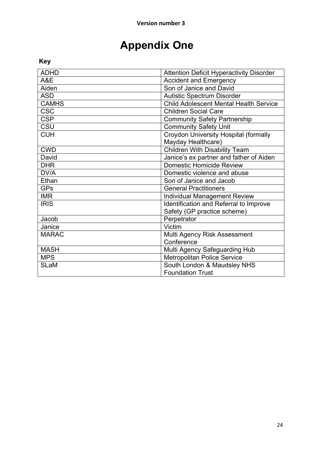# **Appendix One**

### **Key**

| <b>ADHD</b>  | <b>Attention Deficit Hyperactivity Disorder</b> |
|--------------|-------------------------------------------------|
| A&E          | <b>Accident and Emergency</b>                   |
| Aiden        | Son of Janice and David                         |
| <b>ASD</b>   | <b>Autistic Spectrum Disorder</b>               |
| <b>CAMHS</b> | <b>Child Adolescent Mental Health Service</b>   |
| <b>CSC</b>   | <b>Children Social Care</b>                     |
| <b>CSP</b>   | <b>Community Safety Partnership</b>             |
| CSU          | <b>Community Safety Unit</b>                    |
| <b>CUH</b>   | Croydon University Hospital (formally           |
|              | Mayday Healthcare)                              |
| <b>CWD</b>   | <b>Children With Disability Team</b>            |
| David        | Janice's ex partner and father of Aiden         |
| <b>DHR</b>   | <b>Domestic Homicide Review</b>                 |
| DV/A         | Domestic violence and abuse                     |
| Ethan        | Son of Janice and Jacob                         |
| <b>GPs</b>   | <b>General Practitioners</b>                    |
| <b>IMR</b>   | <b>Individual Management Review</b>             |
| <b>IRIS</b>  | Identification and Referral to Improve          |
|              | Safety (GP practice scheme)                     |
| Jacob        | Perpetrator                                     |
| Janice       | Victim                                          |
| <b>MARAC</b> | Multi Agency Risk Assessment                    |
|              | Conference                                      |
| <b>MASH</b>  | Multi Agency Safeguarding Hub                   |
| <b>MPS</b>   | <b>Metropolitan Police Service</b>              |
| <b>SLaM</b>  | South London & Maudsley NHS                     |
|              | <b>Foundation Trust</b>                         |